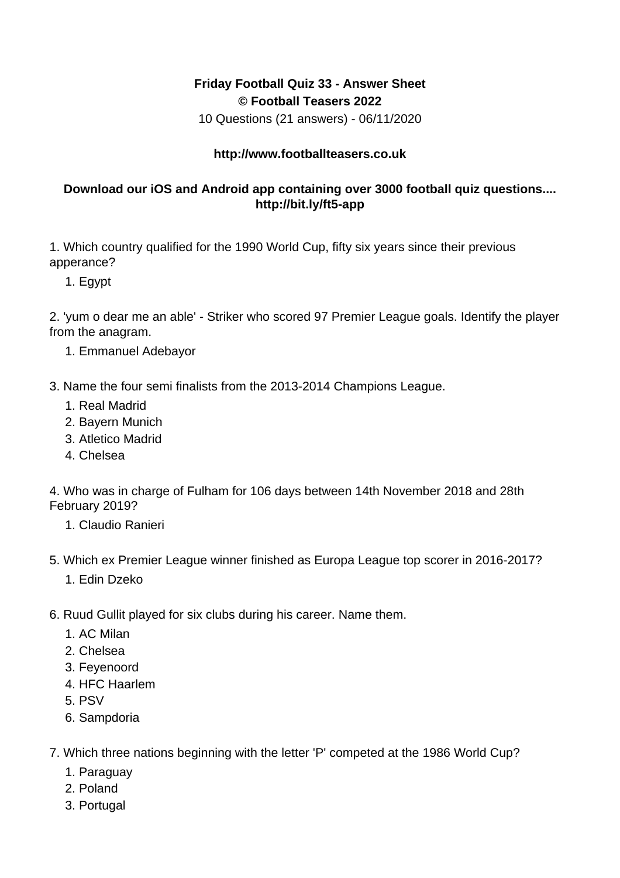## **Friday Football Quiz 33 - Answer Sheet © Football Teasers 2022**

10 Questions (21 answers) - 06/11/2020

## **http://www.footballteasers.co.uk**

## **Download our iOS and Android app containing over 3000 football quiz questions.... http://bit.ly/ft5-app**

1. Which country qualified for the 1990 World Cup, fifty six years since their previous apperance?

1. Egypt

2. 'yum o dear me an able' - Striker who scored 97 Premier League goals. Identify the player from the anagram.

- 1. Emmanuel Adebayor
- 3. Name the four semi finalists from the 2013-2014 Champions League.
	- 1. Real Madrid
	- 2. Bayern Munich
	- 3. Atletico Madrid
	- 4. Chelsea

4. Who was in charge of Fulham for 106 days between 14th November 2018 and 28th February 2019?

- 1. Claudio Ranieri
- 5. Which ex Premier League winner finished as Europa League top scorer in 2016-2017?
	- 1. Edin Dzeko
- 6. Ruud Gullit played for six clubs during his career. Name them.
	- 1. AC Milan
	- 2. Chelsea
	- 3. Feyenoord
	- 4. HFC Haarlem
	- 5. PSV
	- 6. Sampdoria
- 7. Which three nations beginning with the letter 'P' competed at the 1986 World Cup?
	- 1. Paraguay
	- 2. Poland
	- 3. Portugal